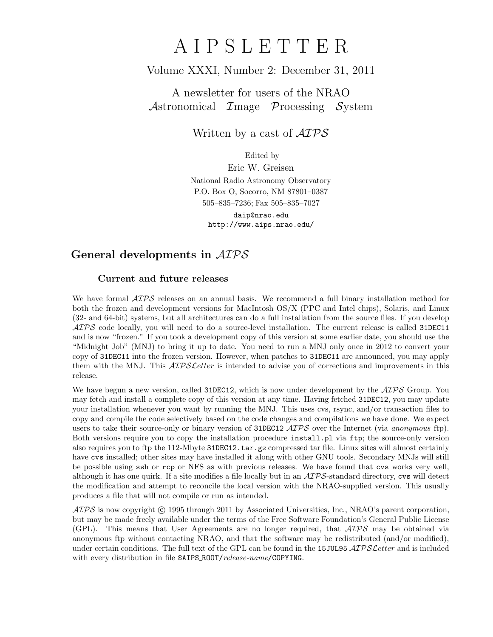# A I P S L E T T E R

# Volume XXXI, Number 2: December 31, 2011

A newsletter for users of the NRAO Astronomical  $\mathcal{I}$ mage  $\mathcal{P}$ rocessing  $\mathcal{S}$ ystem

Written by a cast of  $\mathcal{AIPS}$ 

Edited by

Eric W. Greisen National Radio Astronomy Observatory P.O. Box O, Socorro, NM 87801–0387 505–835–7236; Fax 505–835–7027

daip@nrao.edu http://www.aips.nrao.edu/

# General developments in AIPS

## Current and future releases

We have formal  $\mathcal{AIPS}$  releases on an annual basis. We recommend a full binary installation method for both the frozen and development versions for MacIntosh OS/X (PPC and Intel chips), Solaris, and Linux (32- and 64-bit) systems, but all architectures can do a full installation from the source files. If you develop  $ATPS$  code locally, you will need to do a source-level installation. The current release is called 31DEC11 and is now "frozen." If you took a development copy of this version at some earlier date, you should use the "Midnight Job" (MNJ) to bring it up to date. You need to run a MNJ only once in 2012 to convert your copy of 31DEC11 into the frozen version. However, when patches to 31DEC11 are announced, you may apply them with the MNJ. This  $\mathcal{A}TPS\mathcal{L}etter$  is intended to advise you of corrections and improvements in this release.

We have begun a new version, called 31DEC12, which is now under development by the  $\mathcal{AIPS}$  Group. You may fetch and install a complete copy of this version at any time. Having fetched 31DEC12, you may update your installation whenever you want by running the MNJ. This uses cvs, rsync, and/or transaction files to copy and compile the code selectively based on the code changes and compilations we have done. We expect users to take their source-only or binary version of 31DEC12  $\mathcal{AIPS}$  over the Internet (via anonymous ftp). Both versions require you to copy the installation procedure install.pl via ftp; the source-only version also requires you to ftp the 112-Mbyte 31DEC12.tar.gz compressed tar file. Linux sites will almost certainly have cvs installed; other sites may have installed it along with other GNU tools. Secondary MNJs will still be possible using ssh or rcp or NFS as with previous releases. We have found that cvs works very well, although it has one quirk. If a site modifies a file locally but in an  $\mathcal{AIPS}\text{-}standard$  directory, cvs will detect the modification and attempt to reconcile the local version with the NRAO-supplied version. This usually produces a file that will not compile or run as intended.

 $\langle \mathcal{A} \mathcal{D} \mathcal{S} \rangle$  is now copyright (c) 1995 through 2011 by Associated Universities, Inc., NRAO's parent corporation, but may be made freely available under the terms of the Free Software Foundation's General Public License (GPL). This means that User Agreements are no longer required, that  $\mathcal{AIPS}$  may be obtained via anonymous ftp without contacting NRAO, and that the software may be redistributed (and/or modified), under certain conditions. The full text of the GPL can be found in the 15JUL95 AIPS Letter and is included with every distribution in file \$AIPS\_ROOT/release-name/COPYING.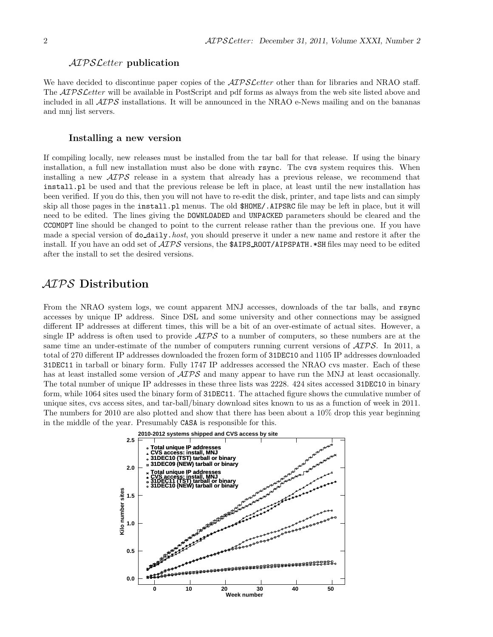### AIPS Letter publication

We have decided to discontinue paper copies of the *AIPS Letter* other than for libraries and NRAO staff. The *AIPS Letter* will be available in PostScript and pdf forms as always from the web site listed above and included in all  $\mathcal{AIPS}$  installations. It will be announced in the NRAO e-News mailing and on the bananas and mnj list servers.

## Installing a new version

If compiling locally, new releases must be installed from the tar ball for that release. If using the binary installation, a full new installation must also be done with rsync. The cvs system requires this. When installing a new AIPS release in a system that already has a previous release, we recommend that install.pl be used and that the previous release be left in place, at least until the new installation has been verified. If you do this, then you will not have to re-edit the disk, printer, and tape lists and can simply skip all those pages in the install.pl menus. The old \$HOME/.AIPSRC file may be left in place, but it will need to be edited. The lines giving the DOWNLOADED and UNPACKED parameters should be cleared and the CCOMOPT line should be changed to point to the current release rather than the previous one. If you have made a special version of do daily.*host*, you should preserve it under a new name and restore it after the install. If you have an odd set of  $\mathcal{AIPS}$  versions, the \$AIPS ROOT/AIPSPATH. \*SH files may need to be edited after the install to set the desired versions.

# AIPS Distribution

From the NRAO system logs, we count apparent MNJ accesses, downloads of the tar balls, and rsync accesses by unique IP address. Since DSL and some university and other connections may be assigned different IP addresses at different times, this will be a bit of an over-estimate of actual sites. However, a single IP address is often used to provide  $\mathcal{AIPS}$  to a number of computers, so these numbers are at the same time an under-estimate of the number of computers running current versions of  $\mathcal{AIPS}$ . In 2011, a total of 270 different IP addresses downloaded the frozen form of 31DEC10 and 1105 IP addresses downloaded 31DEC11 in tarball or binary form. Fully 1747 IP addresses accessed the NRAO cvs master. Each of these has at least installed some version of  $\mathcal{AIPS}$  and many appear to have run the MNJ at least occasionally. The total number of unique IP addresses in these three lists was 2228. 424 sites accessed 31DEC10 in binary form, while 1064 sites used the binary form of 31DEC11. The attached figure shows the cumulative number of unique sites, cvs access sites, and tar-ball/binary download sites known to us as a function of week in 2011. The numbers for 2010 are also plotted and show that there has been about a 10% drop this year beginning in the middle of the year. Presumably CASA is responsible for this.

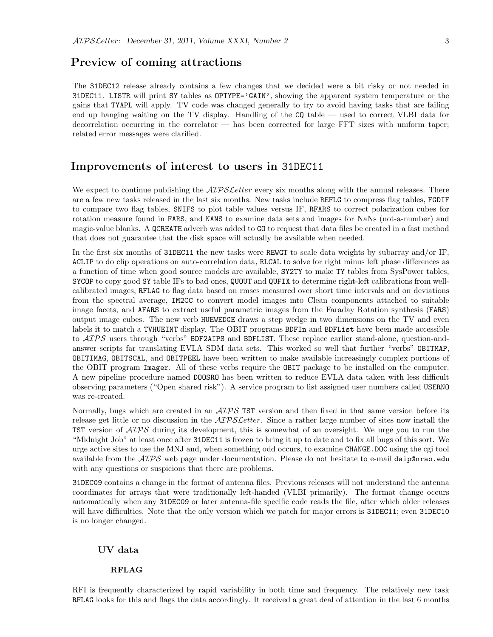# Preview of coming attractions

The 31DEC12 release already contains a few changes that we decided were a bit risky or not needed in 31DEC11. LISTR will print SY tables as OPTYPE='GAIN', showing the apparent system temperature or the gains that TYAPL will apply. TV code was changed generally to try to avoid having tasks that are failing end up hanging waiting on the TV display. Handling of the CQ table — used to correct VLBI data for decorrelation occurring in the correlator — has been corrected for large FFT sizes with uniform taper; related error messages were clarified.

# Improvements of interest to users in 31DEC11

We expect to continue publishing the  $ATPSLetter$  every six months along with the annual releases. There are a few new tasks released in the last six months. New tasks include REFLG to compress flag tables, FGDIF to compare two flag tables, SNIFS to plot table values versus IF, RFARS to correct polarization cubes for rotation measure found in FARS, and NANS to examine data sets and images for NaNs (not-a-number) and magic-value blanks. A QCREATE adverb was added to GO to request that data files be created in a fast method that does not guarantee that the disk space will actually be available when needed.

In the first six months of 31DEC11 the new tasks were REWGT to scale data weights by subarray and/or IF, ACLIP to do clip operations on auto-correlation data, RLCAL to solve for right minus left phase differences as a function of time when good source models are available, SY2TY to make TY tables from SysPower tables, SYCOP to copy good SY table IFs to bad ones, QUOUT and QUFIX to determine right-left calibrations from wellcalibrated images, RFLAG to flag data based on rmses measured over short time intervals and on deviations from the spectral average, IM2CC to convert model images into Clean components attached to suitable image facets, and AFARS to extract useful parametric images from the Faraday Rotation synthesis (FARS) output image cubes. The new verb HUEWEDGE draws a step wedge in two dimensions on the TV and even labels it to match a TVHUEINT display. The OBIT programs BDFIn and BDFList have been made accessible to  $\mathcal{AIPS}$  users through "verbs" BDF2AIPS and BDFLIST. These replace earlier stand-alone, question-andanswer scripts far translating EVLA SDM data sets. This worked so well that further "verbs" OBITMAP, OBITIMAG, OBITSCAL, and OBITPEEL have been written to make available increasingly complex portions of the OBIT program Imager. All of these verbs require the OBIT package to be installed on the computer. A new pipeline procedure named DOOSRO has been written to reduce EVLA data taken with less difficult observing parameters ("Open shared risk"). A service program to list assigned user numbers called USERNO was re-created.

Normally, bugs which are created in an  $\mathcal{AIPS}$  TST version and then fixed in that same version before its release get little or no discussion in the  $\mathcal{AIPSLetter}$ . Since a rather large number of sites now install the **TST** version of  $\mathcal{A} \mathcal{I} \mathcal{P} \mathcal{S}$  during its development, this is somewhat of an oversight. We urge you to run the "Midnight Job" at least once after 31DEC11 is frozen to bring it up to date and to fix all bugs of this sort. We urge active sites to use the MNJ and, when something odd occurs, to examine CHANGE.DOC using the cgi tool available from the  $AIPS$  web page under documentation. Please do not hesitate to e-mail daip@nrao.edu with any questions or suspicions that there are problems.

31DEC09 contains a change in the format of antenna files. Previous releases will not understand the antenna coordinates for arrays that were traditionally left-handed (VLBI primarily). The format change occurs automatically when any 31DEC09 or later antenna-file specific code reads the file, after which older releases will have difficulties. Note that the only version which we patch for major errors is 31DEC11; even 31DEC10 is no longer changed.

## UV data

#### RFLAG

RFI is frequently characterized by rapid variability in both time and frequency. The relatively new task RFLAG looks for this and flags the data accordingly. It received a great deal of attention in the last 6 months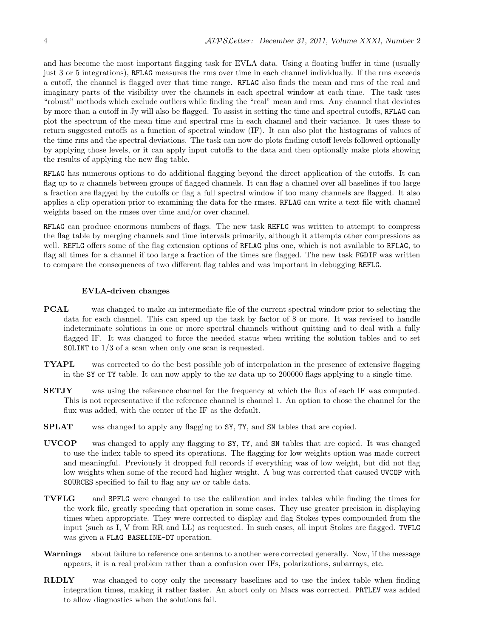and has become the most important flagging task for EVLA data. Using a floating buffer in time (usually just 3 or 5 integrations), RFLAG measures the rms over time in each channel individually. If the rms exceeds a cutoff, the channel is flagged over that time range. RFLAG also finds the mean and rms of the real and imaginary parts of the visibility over the channels in each spectral window at each time. The task uses "robust" methods which exclude outliers while finding the "real" mean and rms. Any channel that deviates by more than a cutoff in Jy will also be flagged. To assist in setting the time and spectral cutoffs, RFLAG can plot the spectrum of the mean time and spectral rms in each channel and their variance. It uses these to return suggested cutoffs as a function of spectral window (IF). It can also plot the histograms of values of the time rms and the spectral deviations. The task can now do plots finding cutoff levels followed optionally by applying those levels, or it can apply input cutoffs to the data and then optionally make plots showing the results of applying the new flag table.

RFLAG has numerous options to do additional flagging beyond the direct application of the cutoffs. It can flag up to n channels between groups of flagged channels. It can flag a channel over all baselines if too large a fraction are flagged by the cutoffs or flag a full spectral window if too many channels are flagged. It also applies a clip operation prior to examining the data for the rmses. RFLAG can write a text file with channel weights based on the rmses over time and/or over channel.

RFLAG can produce enormous numbers of flags. The new task REFLG was written to attempt to compress the flag table by merging channels and time intervals primarily, although it attempts other compressions as well. REFLG offers some of the flag extension options of RFLAG plus one, which is not available to RFLAG, to flag all times for a channel if too large a fraction of the times are flagged. The new task FGDIF was written to compare the consequences of two different flag tables and was important in debugging REFLG.

#### EVLA-driven changes

- PCAL was changed to make an intermediate file of the current spectral window prior to selecting the data for each channel. This can speed up the task by factor of 8 or more. It was revised to handle indeterminate solutions in one or more spectral channels without quitting and to deal with a fully flagged IF. It was changed to force the needed status when writing the solution tables and to set SOLINT to 1/3 of a scan when only one scan is requested.
- TYAPL was corrected to do the best possible job of interpolation in the presence of extensive flagging in the SY or TY table. It can now apply to the uv data up to 200000 flags applying to a single time.
- SETJY was using the reference channel for the frequency at which the flux of each IF was computed. This is not representative if the reference channel is channel 1. An option to chose the channel for the flux was added, with the center of the IF as the default.
- SPLAT was changed to apply any flagging to SY, TY, and SN tables that are copied.
- UVCOP was changed to apply any flagging to SY, TY, and SN tables that are copied. It was changed to use the index table to speed its operations. The flagging for low weights option was made correct and meaningful. Previously it dropped full records if everything was of low weight, but did not flag low weights when some of the record had higher weight. A bug was corrected that caused UVCOP with SOURCES specified to fail to flag any uv or table data.
- TVFLG and SPFLG were changed to use the calibration and index tables while finding the times for the work file, greatly speeding that operation in some cases. They use greater precision in displaying times when appropriate. They were corrected to display and flag Stokes types compounded from the input (such as I, V from RR and LL) as requested. In such cases, all input Stokes are flagged. TVFLG was given a FLAG BASELINE-DT operation.
- Warnings about failure to reference one antenna to another were corrected generally. Now, if the message appears, it is a real problem rather than a confusion over IFs, polarizations, subarrays, etc.
- RLDLY was changed to copy only the necessary baselines and to use the index table when finding integration times, making it rather faster. An abort only on Macs was corrected. PRTLEV was added to allow diagnostics when the solutions fail.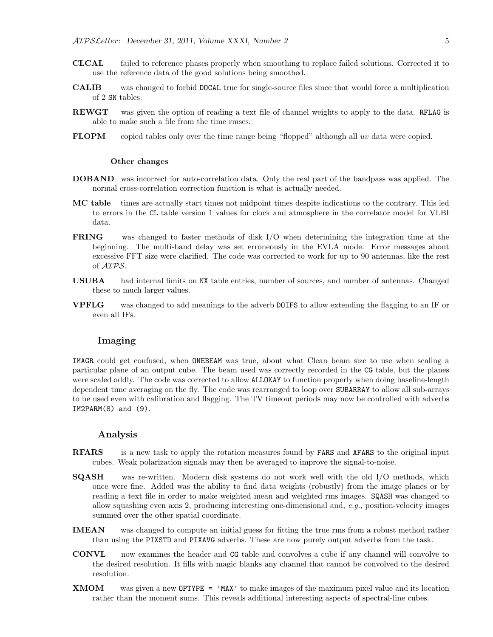- CLCAL failed to reference phases properly when smoothing to replace failed solutions. Corrected it to use the reference data of the good solutions being smoothed.
- CALIB was changed to forbid DOCAL true for single-source files since that would force a multiplication of 2 SN tables.
- REWGT was given the option of reading a text file of channel weights to apply to the data. RFLAG is able to make such a file from the time rmses.
- FLOPM copied tables only over the time range being "flopped" although all uv data were copied.

#### Other changes

- DOBAND was incorrect for auto-correlation data. Only the real part of the bandpass was applied. The normal cross-correlation correction function is what is actually needed.
- MC table times are actually start times not midpoint times despite indications to the contrary. This led to errors in the CL table version 1 values for clock and atmosphere in the correlator model for VLBI data.
- FRING was changed to faster methods of disk I/O when determining the integration time at the beginning. The multi-band delay was set erroneously in the EVLA mode. Error messages about excessive FFT size were clarified. The code was corrected to work for up to 90 antennas, like the rest of AIPS.
- USUBA had internal limits on NX table entries, number of sources, and number of antennas. Changed these to much larger values.
- VPFLG was changed to add meanings to the adverb DOIFS to allow extending the flagging to an IF or even all IFs.

## Imaging

IMAGR could get confused, when ONEBEAM was true, about what Clean beam size to use when scaling a particular plane of an output cube. The beam used was correctly recorded in the CG table, but the planes were scaled oddly. The code was corrected to allow ALLOKAY to function properly when doing baseline-length dependent time averaging on the fly. The code was rearranged to loop over SUBARRAY to allow all sub-arrays to be used even with calibration and flagging. The TV timeout periods may now be controlled with adverbs  $IM2PARM(8)$  and  $(9)$ .

### Analysis

- **RFARS** is a new task to apply the rotation measures found by **FARS** and **AFARS** to the original input cubes. Weak polarization signals may then be averaged to improve the signal-to-noise.
- SQASH was re-written. Modern disk systems do not work well with the old I/O methods, which once were fine. Added was the ability to find data weights (robustly) from the image planes or by reading a text file in order to make weighted mean and weighted rms images. SQASH was changed to allow squashing even axis 2, producing interesting one-dimensional and, e.g., position-velocity images summed over the other spatial coordinate.
- IMEAN was changed to compute an initial guess for fitting the true rms from a robust method rather than using the PIXSTD and PIXAVG adverbs. These are now purely output adverbs from the task.
- CONVL now examines the header and CG table and convolves a cube if any channel will convolve to the desired resolution. It fills with magic blanks any channel that cannot be convolved to the desired resolution.
- **XMOM** was given a new OPTYPE =  $'MAX'$  to make images of the maximum pixel value and its location rather than the moment sums. This reveals additional interesting aspects of spectral-line cubes.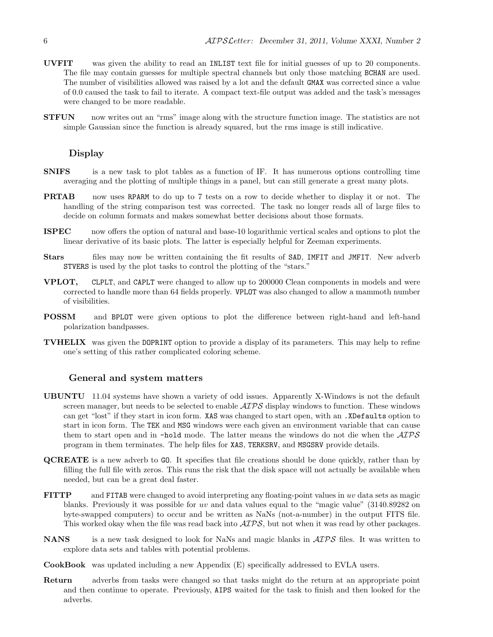- UVFIT was given the ability to read an INLIST text file for initial guesses of up to 20 components. The file may contain guesses for multiple spectral channels but only those matching BCHAN are used. The number of visibilities allowed was raised by a lot and the default GMAX was corrected since a value of 0.0 caused the task to fail to iterate. A compact text-file output was added and the task's messages were changed to be more readable.
- **STFUN** now writes out an "rms" image along with the structure function image. The statistics are not simple Gaussian since the function is already squared, but the rms image is still indicative.

## Display

- SNIFS is a new task to plot tables as a function of IF. It has numerous options controlling time averaging and the plotting of multiple things in a panel, but can still generate a great many plots.
- **PRTAB** now uses RPARM to do up to 7 tests on a row to decide whether to display it or not. The handling of the string comparison test was corrected. The task no longer reads all of large files to decide on column formats and makes somewhat better decisions about those formats.
- ISPEC now offers the option of natural and base-10 logarithmic vertical scales and options to plot the linear derivative of its basic plots. The latter is especially helpful for Zeeman experiments.
- Stars files may now be written containing the fit results of SAD, IMFIT and JMFIT. New adverbed STVERS is used by the plot tasks to control the plotting of the "stars."
- VPLOT, CLPLT, and CAPLT were changed to allow up to 200000 Clean components in models and were corrected to handle more than 64 fields properly. VPLOT was also changed to allow a mammoth number of visibilities.
- POSSM and BPLOT were given options to plot the difference between right-hand and left-hand polarization bandpasses.
- TVHELIX was given the DOPRINT option to provide a display of its parameters. This may help to refine one's setting of this rather complicated coloring scheme.

## General and system matters

- UBUNTU 11.04 systems have shown a variety of odd issues. Apparently X-Windows is not the default screen manager, but needs to be selected to enable  $\mathcal{AIPS}$  display windows to function. These windows can get "lost" if they start in icon form. XAS was changed to start open, with an .XDefaults option to start in icon form. The TEK and MSG windows were each given an environment variable that can cause them to start open and in -hold mode. The latter means the windows do not die when the AIPS program in them terminates. The help files for XAS, TERKSRV, and MSGSRV provide details.
- QCREATE is a new adverb to GO. It specifies that file creations should be done quickly, rather than by filling the full file with zeros. This runs the risk that the disk space will not actually be available when needed, but can be a great deal faster.
- FITTP and FITAB were changed to avoid interpreting any floating-point values in uv data sets as magic blanks. Previously it was possible for uv and data values equal to the "magic value" (3140.89282 on byte-swapped computers) to occur and be written as NaNs (not-a-number) in the output FITS file. This worked okay when the file was read back into  $\mathcal{AIPS}$ , but not when it was read by other packages.
- NANS is a new task designed to look for NaNs and magic blanks in  $\mathcal{AIPS}$  files. It was written to explore data sets and tables with potential problems.
- CookBook was updated including a new Appendix (E) specifically addressed to EVLA users.
- Return adverbs from tasks were changed so that tasks might do the return at an appropriate point and then continue to operate. Previously, AIPS waited for the task to finish and then looked for the adverbs.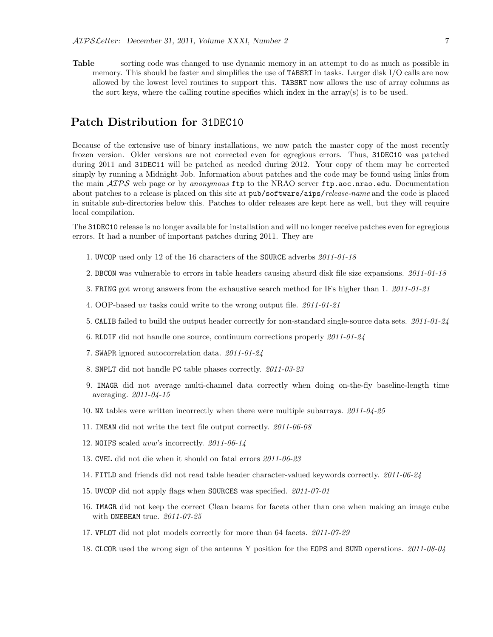Table sorting code was changed to use dynamic memory in an attempt to do as much as possible in memory. This should be faster and simplifies the use of TABSRT in tasks. Larger disk I/O calls are now allowed by the lowest level routines to support this. TABSRT now allows the use of array columns as the sort keys, where the calling routine specifies which index in the array(s) is to be used.

# Patch Distribution for 31DEC10

Because of the extensive use of binary installations, we now patch the master copy of the most recently frozen version. Older versions are not corrected even for egregious errors. Thus, 31DEC10 was patched during 2011 and 31DEC11 will be patched as needed during 2012. Your copy of them may be corrected simply by running a Midnight Job. Information about patches and the code may be found using links from the main  $\mathcal{AIPS}$  web page or by anonymous ftp to the NRAO server ftp.aoc.nrao.edu. Documentation about patches to a release is placed on this site at pub/software/aips/release-name and the code is placed in suitable sub-directories below this. Patches to older releases are kept here as well, but they will require local compilation.

The 31DEC10 release is no longer available for installation and will no longer receive patches even for egregious errors. It had a number of important patches during 2011. They are

- 1. UVCOP used only 12 of the 16 characters of the SOURCE adverbs 2011-01-18
- 2. DBCON was vulnerable to errors in table headers causing absurd disk file size expansions. 2011-01-18
- 3. FRING got wrong answers from the exhaustive search method for IFs higher than 1. 2011-01-21
- 4. OOP-based uv tasks could write to the wrong output file. 2011-01-21
- 5. CALIB failed to build the output header correctly for non-standard single-source data sets. 2011-01-24
- 6. RLDIF did not handle one source, continuum corrections properly 2011-01-24
- 7. SWAPR ignored autocorrelation data. 2011-01-24
- 8. SNPLT did not handle PC table phases correctly. 2011-03-23
- 9. IMAGR did not average multi-channel data correctly when doing on-the-fly baseline-length time averaging. 2011-04-15
- 10. NX tables were written incorrectly when there were multiple subarrays. 2011-04-25
- 11. IMEAN did not write the text file output correctly. 2011-06-08
- 12. NOIFS scaled uvw's incorrectly. 2011-06-14
- 13. CVEL did not die when it should on fatal errors 2011-06-23
- 14. FITLD and friends did not read table header character-valued keywords correctly. 2011-06-24
- 15. UVCOP did not apply flags when SOURCES was specified. 2011-07-01
- 16. IMAGR did not keep the correct Clean beams for facets other than one when making an image cube with ONEBEAM true. 2011-07-25
- 17. VPLOT did not plot models correctly for more than 64 facets.  $2011-07-29$
- 18. CLCOR used the wrong sign of the antenna Y position for the EOPS and SUND operations. 2011-08-04